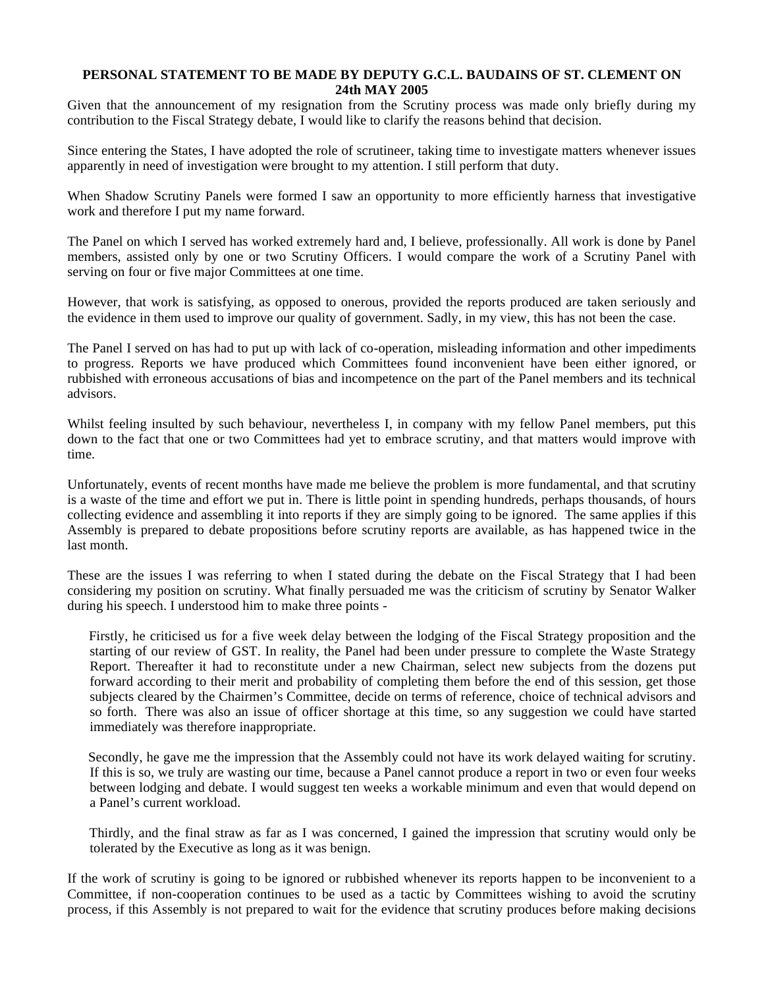## **PERSONAL STATEMENT TO BE MADE BY DEPUTY G.C.L. BAUDAINS OF ST. CLEMENT ON 24th MAY 2005**

Given that the announcement of my resignation from the Scrutiny process was made only briefly during my contribution to the Fiscal Strategy debate, I would like to clarify the reasons behind that decision.

Since entering the States, I have adopted the role of scrutineer, taking time to investigate matters whenever issues apparently in need of investigation were brought to my attention. I still perform that duty.

When Shadow Scrutiny Panels were formed I saw an opportunity to more efficiently harness that investigative work and therefore I put my name forward.

The Panel on which I served has worked extremely hard and, I believe, professionally. All work is done by Panel members, assisted only by one or two Scrutiny Officers. I would compare the work of a Scrutiny Panel with serving on four or five major Committees at one time.

However, that work is satisfying, as opposed to onerous, provided the reports produced are taken seriously and the evidence in them used to improve our quality of government. Sadly, in my view, this has not been the case.

The Panel I served on has had to put up with lack of co-operation, misleading information and other impediments to progress. Reports we have produced which Committees found inconvenient have been either ignored, or rubbished with erroneous accusations of bias and incompetence on the part of the Panel members and its technical advisors.

Whilst feeling insulted by such behaviour, nevertheless I, in company with my fellow Panel members, put this down to the fact that one or two Committees had yet to embrace scrutiny, and that matters would improve with time.

Unfortunately, events of recent months have made me believe the problem is more fundamental, and that scrutiny is a waste of the time and effort we put in. There is little point in spending hundreds, perhaps thousands, of hours collecting evidence and assembling it into reports if they are simply going to be ignored. The same applies if this Assembly is prepared to debate propositions before scrutiny reports are available, as has happened twice in the last month.

These are the issues I was referring to when I stated during the debate on the Fiscal Strategy that I had been considering my position on scrutiny. What finally persuaded me was the criticism of scrutiny by Senator Walker during his speech. I understood him to make three points -

 Firstly, he criticised us for a five week delay between the lodging of the Fiscal Strategy proposition and the starting of our review of GST. In reality, the Panel had been under pressure to complete the Waste Strategy Report. Thereafter it had to reconstitute under a new Chairman, select new subjects from the dozens put forward according to their merit and probability of completing them before the end of this session, get those subjects cleared by the Chairmen's Committee, decide on terms of reference, choice of technical advisors and so forth. There was also an issue of officer shortage at this time, so any suggestion we could have started immediately was therefore inappropriate.

 Secondly, he gave me the impression that the Assembly could not have its work delayed waiting for scrutiny. If this is so, we truly are wasting our time, because a Panel cannot produce a report in two or even four weeks between lodging and debate. I would suggest ten weeks a workable minimum and even that would depend on a Panel's current workload.

 Thirdly, and the final straw as far as I was concerned, I gained the impression that scrutiny would only be tolerated by the Executive as long as it was benign.

If the work of scrutiny is going to be ignored or rubbished whenever its reports happen to be inconvenient to a Committee, if non-cooperation continues to be used as a tactic by Committees wishing to avoid the scrutiny process, if this Assembly is not prepared to wait for the evidence that scrutiny produces before making decisions